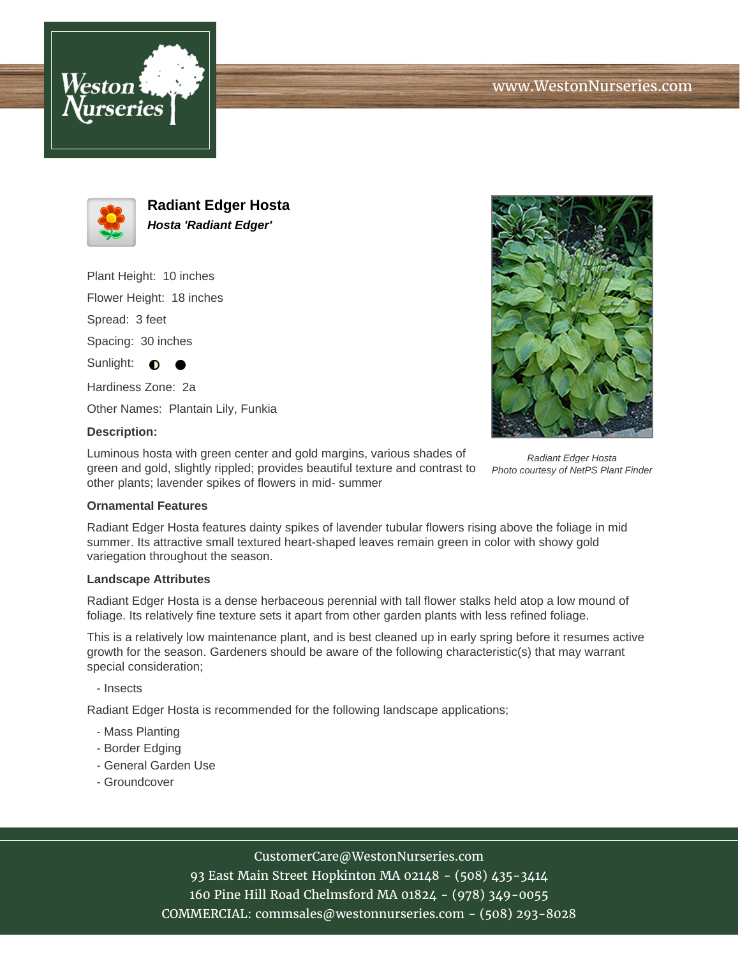



**Radiant Edger Hosta Hosta 'Radiant Edger'**

Plant Height: 10 inches

Flower Height: 18 inches

Spread: 3 feet

Spacing: 30 inches

Sunlight:  $\bigcirc$ 

Hardiness Zone: 2a

Other Names: Plantain Lily, Funkia

## **Description:**

Luminous hosta with green center and gold margins, various shades of green and gold, slightly rippled; provides beautiful texture and contrast to other plants; lavender spikes of flowers in mid- summer



## **Ornamental Features**

Radiant Edger Hosta features dainty spikes of lavender tubular flowers rising above the foliage in mid summer. Its attractive small textured heart-shaped leaves remain green in color with showy gold variegation throughout the season.

## **Landscape Attributes**

Radiant Edger Hosta is a dense herbaceous perennial with tall flower stalks held atop a low mound of foliage. Its relatively fine texture sets it apart from other garden plants with less refined foliage.

This is a relatively low maintenance plant, and is best cleaned up in early spring before it resumes active growth for the season. Gardeners should be aware of the following characteristic(s) that may warrant special consideration;

- Insects

Radiant Edger Hosta is recommended for the following landscape applications;

- Mass Planting
- Border Edging
- General Garden Use
- Groundcover

CustomerCare@WestonNurseries.com

93 East Main Street Hopkinton MA 02148 - (508) 435-3414 160 Pine Hill Road Chelmsford MA 01824 - (978) 349-0055 COMMERCIAL: commsales@westonnurseries.com - (508) 293-8028